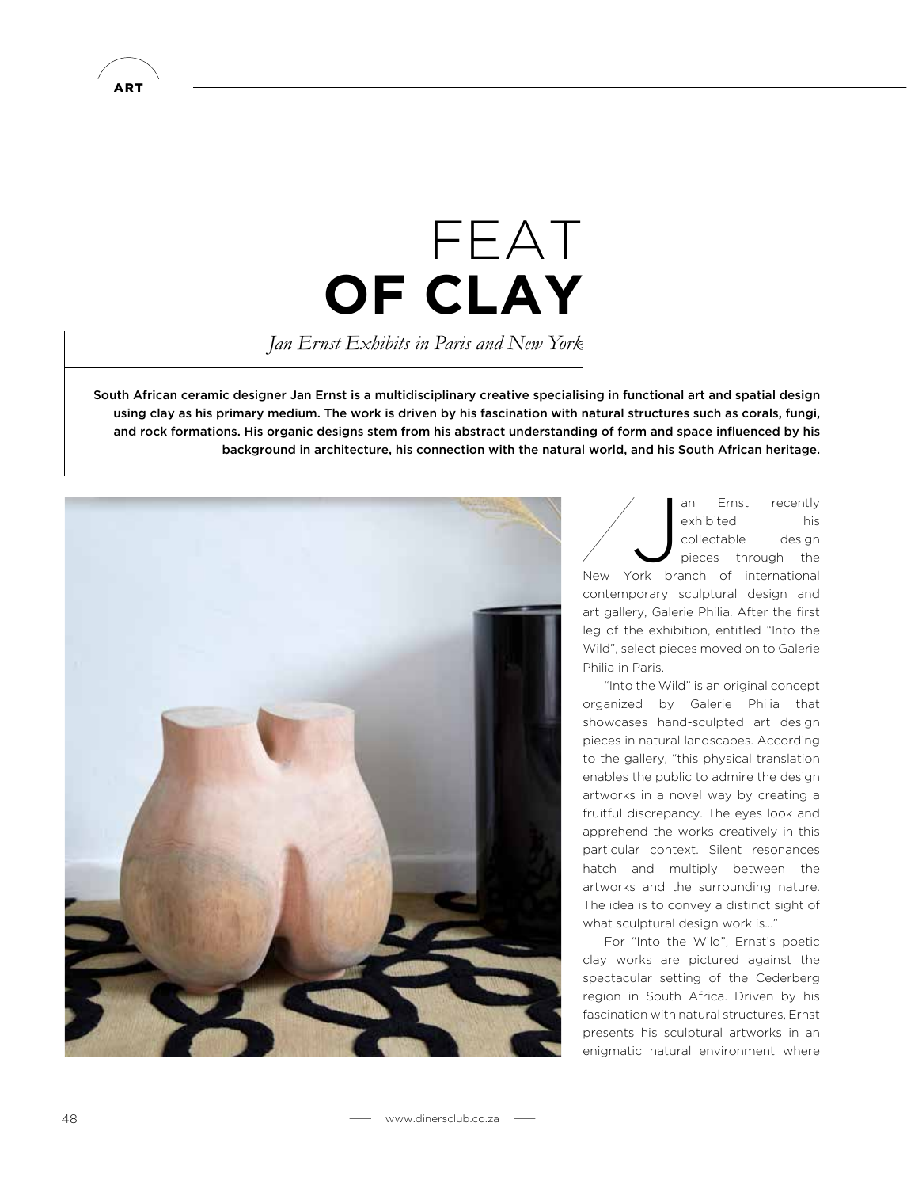## FEAT **OF CLAY** *Jan Ernst Exhibits in Paris and New York*

South African ceramic designer Jan Ernst is a multidisciplinary creative specialising in functional art and spatial design using clay as his primary medium. The work is driven by his fascination with natural structures such as corals, fungi, and rock formations. His organic designs stem from his abstract understanding of form and space influenced by his background in architecture, his connection with the natural world, and his South African heritage.



J<br>Joseph an Ernst recently exhibited his collectable design pieces through the New York branch of international contemporary sculptural design and art gallery, Galerie Philia. After the first leg of the exhibition, entitled "Into the Wild", select pieces moved on to Galerie Philia in Paris.

"Into the Wild" is an original concept organized by Galerie Philia that showcases hand-sculpted art design pieces in natural landscapes. According to the gallery, "this physical translation enables the public to admire the design artworks in a novel way by creating a fruitful discrepancy. The eyes look and apprehend the works creatively in this particular context. Silent resonances hatch and multiply between the artworks and the surrounding nature. The idea is to convey a distinct sight of what sculptural design work is…"

For "Into the Wild", Ernst's poetic clay works are pictured against the spectacular setting of the Cederberg region in South Africa. Driven by his fascination with natural structures, Ernst presents his sculptural artworks in an enigmatic natural environment where

48 www.dinersclub.co.za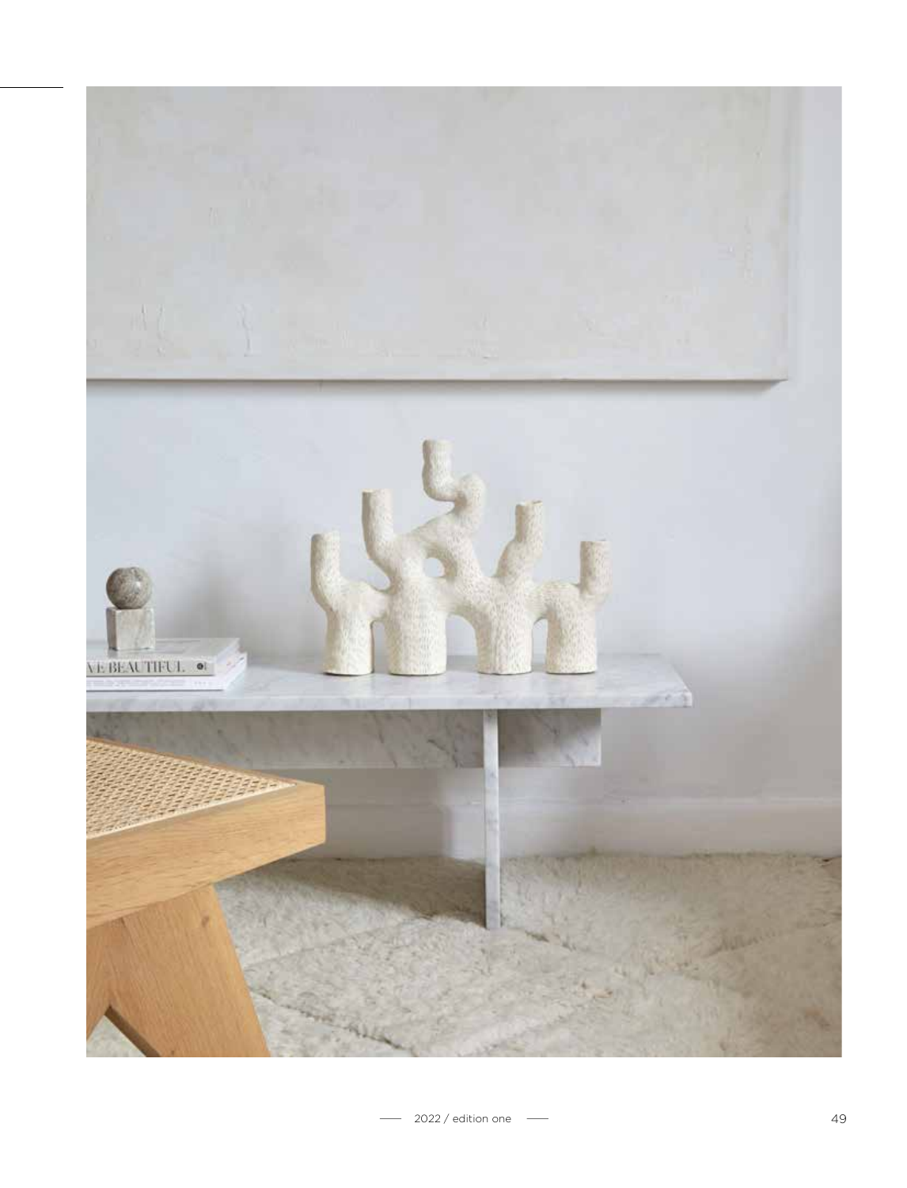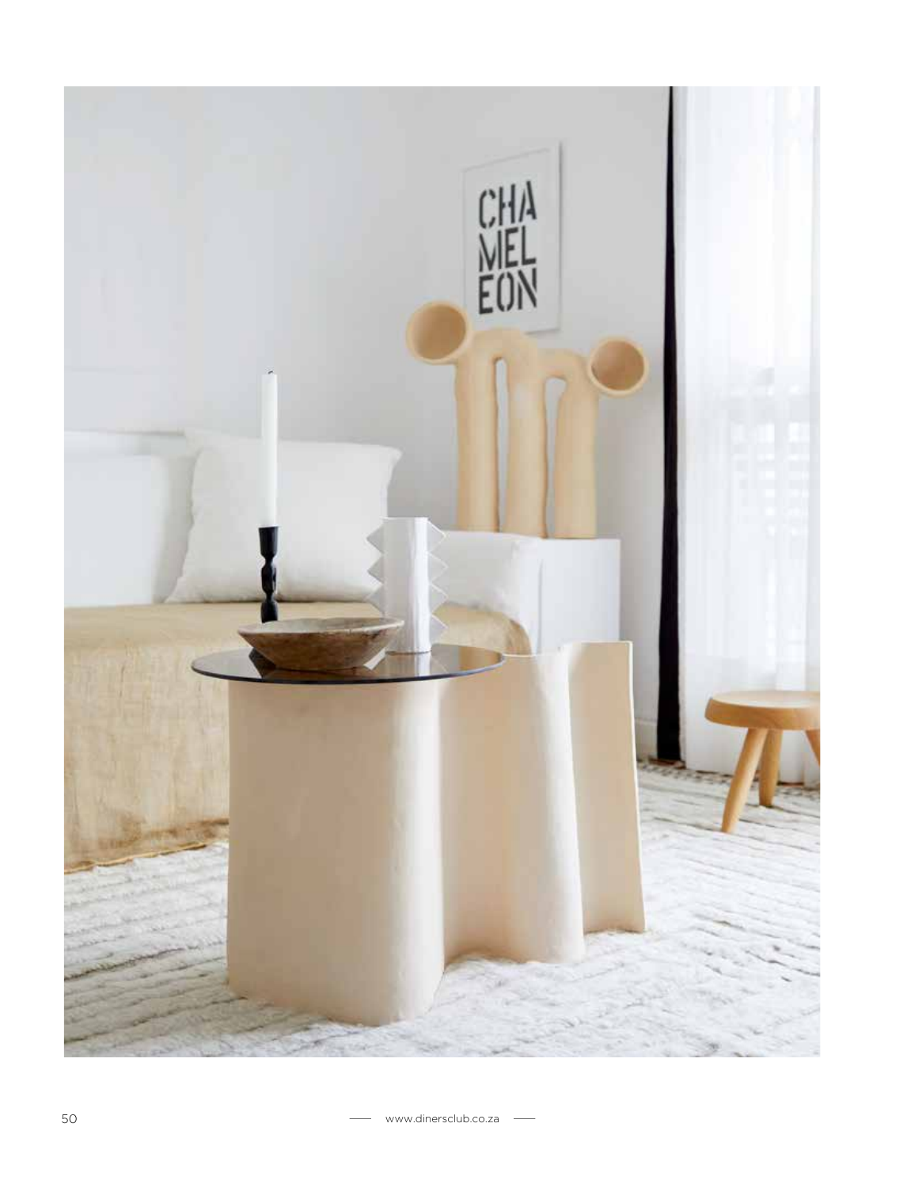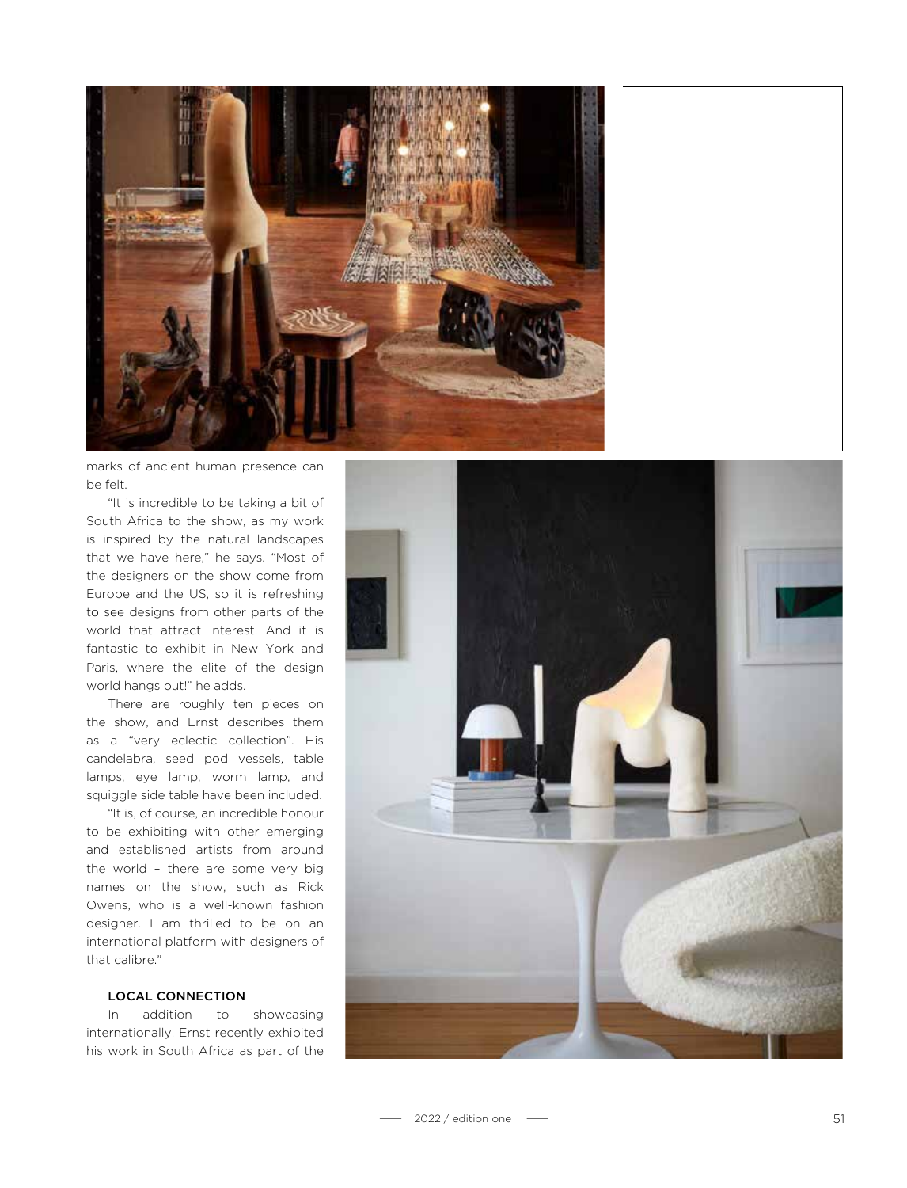

marks of ancient human presence can be felt.

"It is incredible to be taking a bit of South Africa to the show, as my work is inspired by the natural landscapes that we have here," he says. "Most of the designers on the show come from Europe and the US, so it is refreshing to see designs from other parts of the world that attract interest. And it is fantastic to exhibit in New York and Paris, where the elite of the design world hangs out!" he adds.

There are roughly ten pieces on the show, and Ernst describes them as a "very eclectic collection". His candelabra, seed pod vessels, table lamps, eye lamp, worm lamp, and squiggle side table have been included.

"It is, of course, an incredible honour to be exhibiting with other emerging and established artists from around the world – there are some very big names on the show, such as Rick Owens, who is a well-known fashion designer. I am thrilled to be on an international platform with designers of that calibre."

## LOCAL CONNECTION

In addition to showcasing internationally, Ernst recently exhibited his work in South Africa as part of the

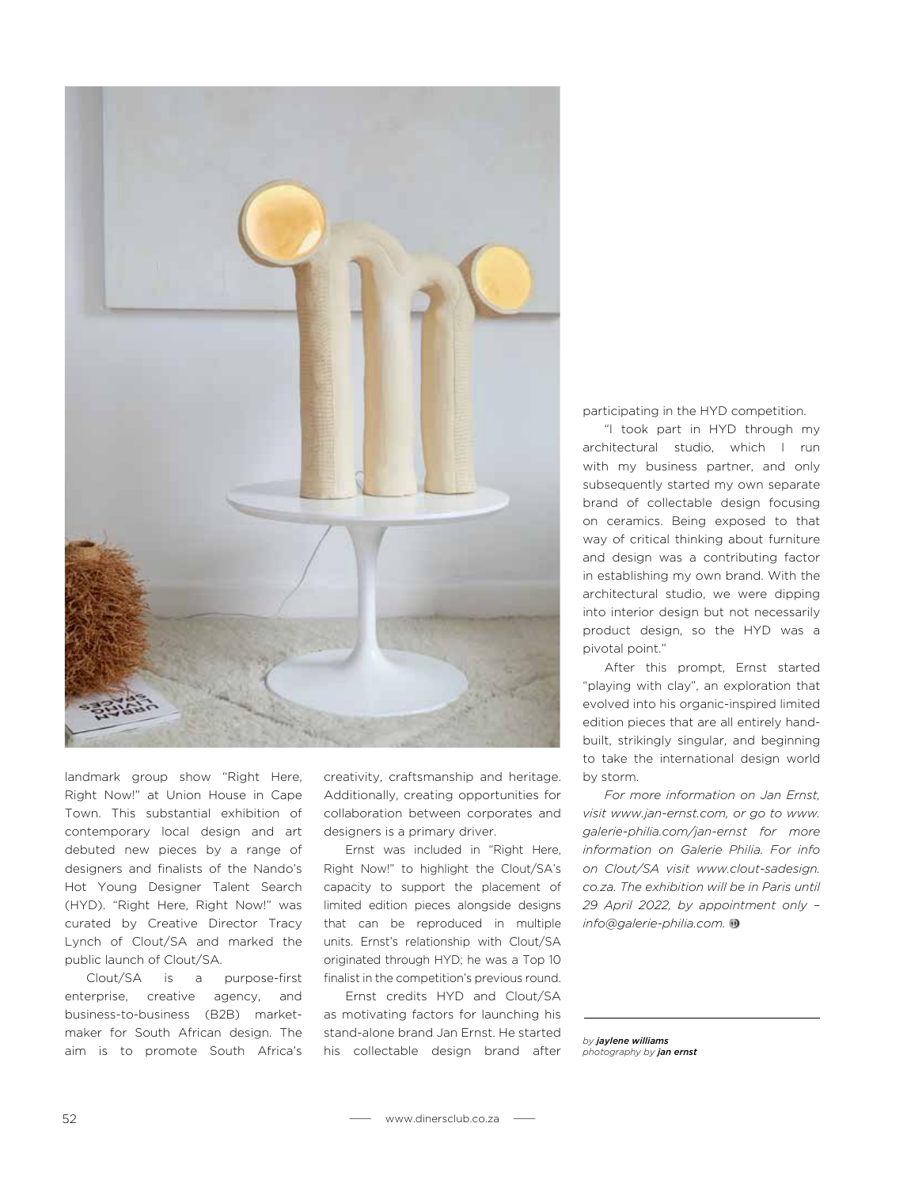

landmark group show "Right Here, Right Now!" at Union House in Cape Town. This substantial exhibition of contemporary local design and art debuted new pieces by a range of designers and finalists of the Nando's Hot Young Designer Talent Search (HYD). "Right Here, Right Now!" was curated by Creative Director Tracy Lynch of Clout/SA and marked the public launch of Clout/SA.

Clout/SA is a purpose-first enterprise, creative agency, and business-to-business (B2B) marketmaker for South African design. The aim is to promote South Africa's

creativity, craftsmanship and heritage. Additionally, creating opportunities for collaboration between corporates and designers is a primary driver.

Ernst was included in "Right Here, Right Now!" to highlight the Clout/SA's capacity to support the placement of limited edition pieces alongside designs that can be reproduced in multiple units. Ernst's relationship with Clout/SA originated through HYD; he was a Top 10 finalist in the competition's previous round.

Ernst credits HYD and Clout/SA as motivating factors for launching his stand-alone brand Jan Ernst. He started his collectable design brand after participating in the HYD competition.

"I took part in HYD through my architectural studio, which I run with my business partner, and only subsequently started my own separate brand of collectable design focusing on ceramics. Being exposed to that way of critical thinking about furniture and design was a contributing factor in establishing my own brand. With the architectural studio, we were dipping into interior design but not necessarily product design, so the HYD was a pivotal point."

After this prompt, Ernst started "playing with clay", an exploration that evolved into his organic-inspired limited edition pieces that are all entirely handbuilt, strikingly singular, and beginning to take the international design world by storm.

*For more information on Jan Ernst, visit www.jan-ernst.com, or go to www. galerie-philia.com/jan-ernst for more information on Galerie Philia. For info on Clout/SA visit www.clout-sadesign. co.za. The exhibition will be in Paris until 29 April 2022, by appointment only – info@galerie-philia.com.*

*by jaylene williams photography by jan ernst*